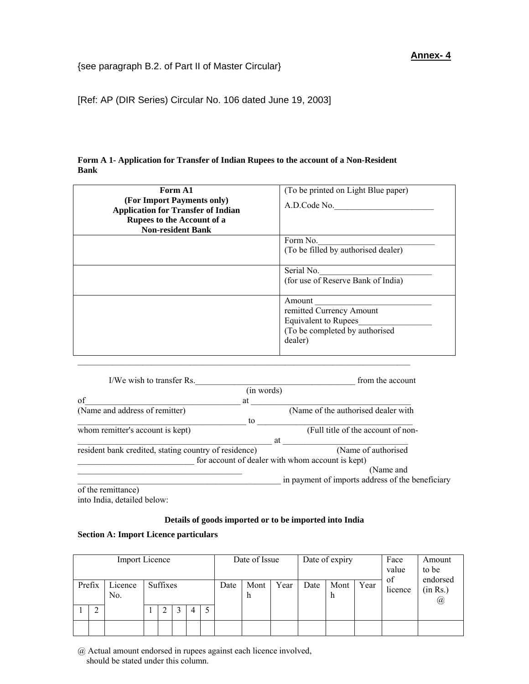[Ref: AP (DIR Series) Circular No. 106 dated June 19, 2003]

| Form A 1- Application for Transfer of Indian Rupees to the account of a Non-Resident |  |  |
|--------------------------------------------------------------------------------------|--|--|
| <b>Bank</b>                                                                          |  |  |

| Form A1<br>(For Import Payments only)<br><b>Application for Transfer of Indian</b> | (To be printed on Light Blue paper)<br>A.D.Code No.                                                     |
|------------------------------------------------------------------------------------|---------------------------------------------------------------------------------------------------------|
| Rupees to the Account of a<br><b>Non-resident Bank</b>                             |                                                                                                         |
|                                                                                    | Form No.<br>(To be filled by authorised dealer)                                                         |
|                                                                                    | Serial No.<br>(for use of Reserve Bank of India)                                                        |
|                                                                                    | Amount<br>remitted Currency Amount<br>Equivalent to Rupees<br>(To be completed by authorised<br>dealer) |

| I/We wish to transfer Rs.                             | from the account                                 |
|-------------------------------------------------------|--------------------------------------------------|
| (in words)                                            |                                                  |
| of<br>at                                              |                                                  |
| (Name and address of remitter)                        | (Name of the authorised dealer with              |
| to                                                    |                                                  |
| whom remitter's account is kept)                      | (Full title of the account of non-               |
|                                                       | at                                               |
| resident bank credited, stating country of residence) | (Name of authorised                              |
|                                                       | for account of dealer with whom account is kept) |
|                                                       | (Name and                                        |
|                                                       | in payment of imports address of the beneficiary |
| of the remittence)                                    |                                                  |

 $\mathcal{L}_\text{max}$ 

of the remittance) into India, detailed below:

## **Details of goods imported or to be imported into India**

## **Section A: Import Licence particulars**

| Import Licence |        |                           |          |  | Date of Issue |      |           | Date of expiry |      | Face<br>value<br>of | Amount<br>to be<br>endorsed |         |                                  |  |  |
|----------------|--------|---------------------------|----------|--|---------------|------|-----------|----------------|------|---------------------|-----------------------------|---------|----------------------------------|--|--|
|                | Prefix | Licence<br>N <sub>0</sub> | Suffixes |  |               | Date | Mont<br>h | Year           | Date | Mont<br>h           | Year                        | licence | (in Rs.)<br>$^{\textregistered}$ |  |  |
|                | 2      |                           |          |  | 3             | 4    | ر         |                |      |                     |                             |         |                                  |  |  |
|                |        |                           |          |  |               |      |           |                |      |                     |                             |         |                                  |  |  |

@ Actual amount endorsed in rupees against each licence involved, should be stated under this column.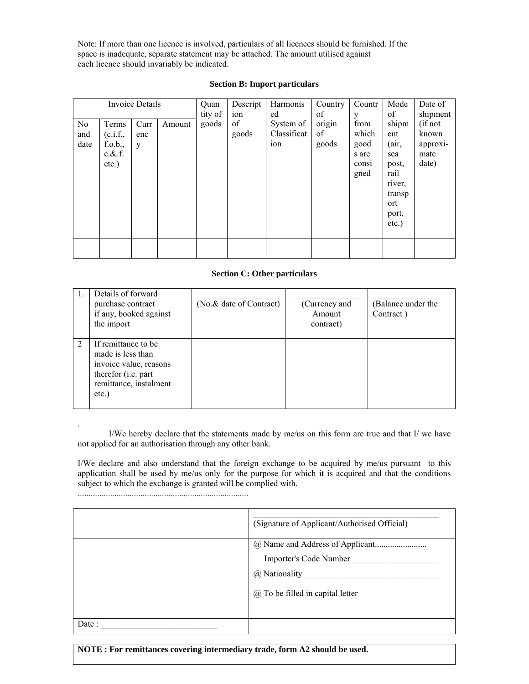Note: If more than one licence is involved, particulars of all licences should be furnished. If the space is inadequate, separate statement may be attached. The amount utilised against each licence should invariably be indicated.

|      |            | <b>Invoice Details</b> |        | Quan    | Descript | Harmonis        | Country | Countr | Mode     | Date of  |
|------|------------|------------------------|--------|---------|----------|-----------------|---------|--------|----------|----------|
|      |            |                        |        | tity of | ion      | ed              | of      | y      | of       | shipment |
| No.  | Terms      | Curr                   | Amount | goods   | of       | System of       | origin  | from   | shipm    | (if not  |
| and  | (c.i.f.,   | enc                    |        |         | goods    | Classificat     | of      | which  | ent      | known    |
| date | f.o.b.,    | y                      |        |         |          | <sub>10</sub> n | goods   | good   | (air,    | approxi- |
|      | $c.\&$ .f. |                        |        |         |          |                 |         | s are  | sea      | mate     |
|      | $etc.$ )   |                        |        |         |          |                 |         | consi  | post,    | date)    |
|      |            |                        |        |         |          |                 |         | gned   | rail     |          |
|      |            |                        |        |         |          |                 |         |        | river,   |          |
|      |            |                        |        |         |          |                 |         |        | transp   |          |
|      |            |                        |        |         |          |                 |         |        | ort      |          |
|      |            |                        |        |         |          |                 |         |        | port,    |          |
|      |            |                        |        |         |          |                 |         |        | $etc.$ ) |          |
|      |            |                        |        |         |          |                 |         |        |          |          |
|      |            |                        |        |         |          |                 |         |        |          |          |
|      |            |                        |        |         |          |                 |         |        |          |          |

## **Section B: Import particulars**

### **Section C: Other particulars**

| Details of forward<br>purchase contract<br>if any, booked against<br>the import                                                         | (No.& date of Contract) | (Currency and<br>Amount<br>contract) | (Balance under the<br>Contract) |
|-----------------------------------------------------------------------------------------------------------------------------------------|-------------------------|--------------------------------------|---------------------------------|
| If remittance to be<br>made is less than<br>invoice value, reasons<br>therefor ( <i>i.e.</i> part<br>remittance, instalment<br>$etc.$ ) |                         |                                      |                                 |

I/We hereby declare that the statements made by me/us on this form are true and that I/ we have not applied for an authorisation through any other bank.

I/We declare and also understand that the foreign exchange to be acquired by me/us pursuant to this application shall be used by me/us only for the purpose for which it is acquired and that the conditions subject to which the exchange is granted will be complied with.

.

|        | (Signature of Applicant/Authorised Official) |
|--------|----------------------------------------------|
|        |                                              |
|        | Importer's Code Number                       |
|        | @ Nationality                                |
|        | $(a)$ To be filled in capital letter         |
|        |                                              |
| Date : |                                              |

**NOTE : For remittances covering intermediary trade, form A2 should be used.**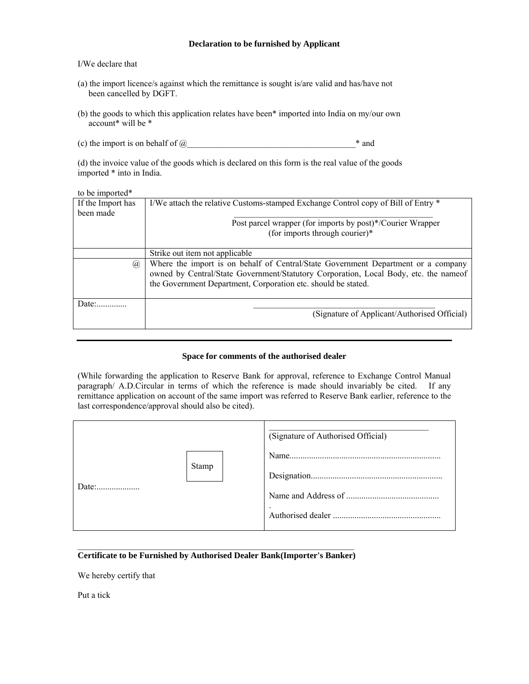### **Declaration to be furnished by Applicant**

### I/We declare that

- (a) the import licence/s against which the remittance is sought is/are valid and has/have not been cancelled by DGFT.
- (b) the goods to which this application relates have been\* imported into India on my/our own account\* will be \*
- (c) the import is on behalf of  $@_$

(d) the invoice value of the goods which is declared on this form is the real value of the goods imported \* into in India.

### to be imported\*

| If the Import has | I/We attach the relative Customs-stamped Exchange Control copy of Bill of Entry *    |
|-------------------|--------------------------------------------------------------------------------------|
| been made         |                                                                                      |
|                   | Post parcel wrapper (for imports by post)*/Courier Wrapper                           |
|                   | (for imports through courier)*                                                       |
|                   |                                                                                      |
|                   | Strike out item not applicable                                                       |
| (a)               | Where the import is on behalf of Central/State Government Department or a company    |
|                   | owned by Central/State Government/Statutory Corporation, Local Body, etc. the nameof |
|                   | the Government Department, Corporation etc. should be stated.                        |
|                   |                                                                                      |
| Date              |                                                                                      |
|                   | (Signature of Applicant/Authorised Official)                                         |
|                   |                                                                                      |

### **Space for comments of the authorised dealer**

(While forwarding the application to Reserve Bank for approval, reference to Exchange Control Manual paragraph/ A.D.Circular in terms of which the reference is made should invariably be cited. If any remittance application on account of the same import was referred to Reserve Bank earlier, reference to the last correspondence/approval should also be cited).

|              | (Signature of Authorised Official) |
|--------------|------------------------------------|
| <b>Stamp</b> | $\bullet$                          |

## **Certificate to be Furnished by Authorised Dealer Bank(Importer's Banker)**

We hereby certify that

Put a tick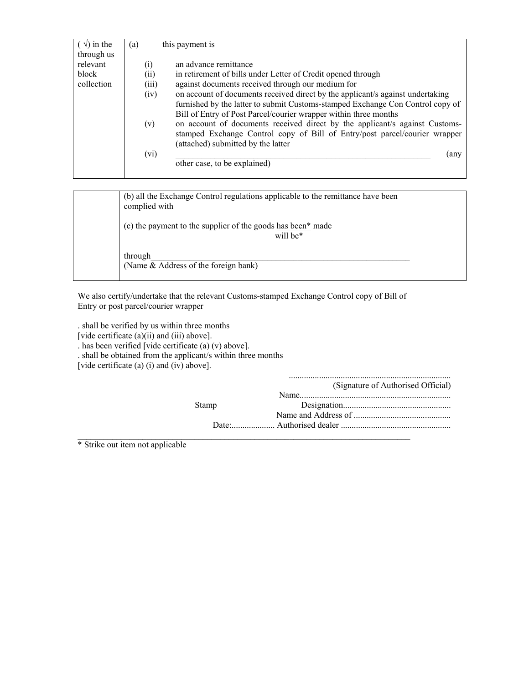| $(\sqrt{})$ in the | this payment is<br>(a)                                                                 |
|--------------------|----------------------------------------------------------------------------------------|
| through us         |                                                                                        |
| relevant           | an advance remittance<br>$\left( i\right)$                                             |
| block              | in retirement of bills under Letter of Credit opened through<br>(i)                    |
| collection         | (iii)<br>against documents received through our medium for                             |
|                    | on account of documents received direct by the applicant/s against undertaking<br>(iv) |
|                    | furnished by the latter to submit Customs-stamped Exchange Con Control copy of         |
|                    | Bill of Entry of Post Parcel/courier wrapper within three months                       |
|                    | on account of documents received direct by the applicant/s against Customs-<br>(v)     |
|                    | stamped Exchange Control copy of Bill of Entry/post parcel/courier wrapper             |
|                    | (attached) submitted by the latter                                                     |
|                    | (any                                                                                   |
|                    |                                                                                        |
|                    |                                                                                        |
|                    | (vi)<br>other case, to be explained)                                                   |

| (b) all the Exchange Control regulations applicable to the remittance have been<br>complied with |
|--------------------------------------------------------------------------------------------------|
| (c) the payment to the supplier of the goods has been <sup>*</sup> made<br>will be*              |
| through<br>(Name & Address of the foreign bank)                                                  |

We also certify/undertake that the relevant Customs-stamped Exchange Control copy of Bill of Entry or post parcel/courier wrapper

. shall be verified by us within three months

[vide certificate (a)(ii) and (iii) above].

. has been verified [vide certificate (a) (v) above].

. shall be obtained from the applicant/s within three months

[vide certificate (a) (i) and (iv) above].

|              | (Signature of Authorised Official) |
|--------------|------------------------------------|
|              | Name                               |
| <b>Stamp</b> |                                    |
|              |                                    |
|              | Date: Authorised dealer            |
|              |                                    |

...........................................................................

\* Strike out item not applicable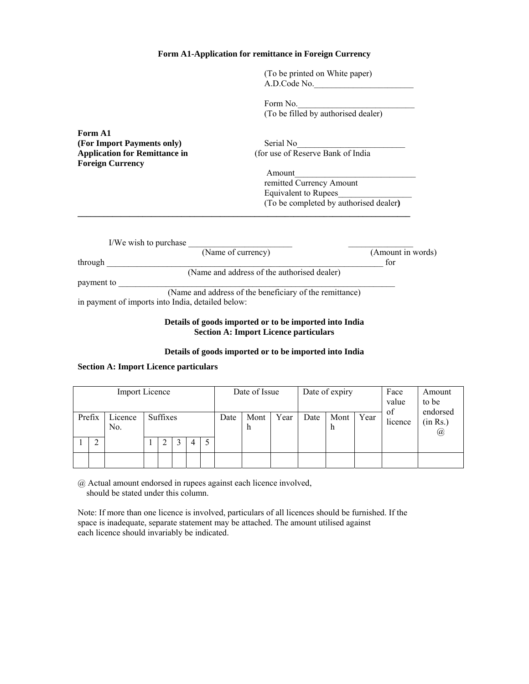### **Form A1-Application for remittance in Foreign Currency**

(To be printed on White paper) A.D.Code No.\_\_\_\_\_\_\_\_\_\_\_\_\_\_\_\_\_\_\_\_\_\_\_

Form No. (To be filled by authorised dealer)

**Form A1 (For Import Payments only)** Serial No **Foreign Currency** 

**Application for Remittance in** (for use of Reserve Bank of India

*Amount* remitted Currency Amount Equivalent to Rupees\_\_\_\_\_\_\_\_\_\_\_\_\_\_\_\_\_ (To be completed by authorised dealer**)** 

| I/We wish to purchase                             |                                                         |
|---------------------------------------------------|---------------------------------------------------------|
| (Name of currency)                                | (Amount in words)                                       |
| through                                           | for                                                     |
|                                                   | (Name and address of the authorised dealer)             |
| payment to                                        |                                                         |
|                                                   | (Name and address of the beneficiary of the remittance) |
| in payment of imports into India, detailed below: |                                                         |

**\_\_\_\_\_\_\_\_\_\_\_\_\_\_\_\_\_\_\_\_\_\_\_\_\_\_\_\_\_\_\_\_\_\_\_\_\_\_\_\_\_\_\_\_\_\_\_\_\_\_\_\_\_\_\_\_\_\_\_\_\_\_\_\_\_\_\_\_\_\_\_\_\_\_\_\_\_** 

### **Details of goods imported or to be imported into India Section A: Import Licence particulars**

### **Details of goods imported or to be imported into India**

### **Section A: Import Licence particulars**

| <b>Import Licence</b> |             |                            |  |  |  |      | Date of Issue |      |      | Date of expiry |      | Face<br>value<br>of | Amount<br>to be<br>endorsed |  |
|-----------------------|-------------|----------------------------|--|--|--|------|---------------|------|------|----------------|------|---------------------|-----------------------------|--|
|                       | Prefix      | Suffixes<br>Licence<br>No. |  |  |  | Date | Mont<br>n     | Year | Date | Mont<br>h      | Year | licence             | (in Rs.)<br>@               |  |
|                       | ◠<br>4<br>∠ |                            |  |  |  |      |               |      |      |                |      |                     |                             |  |
|                       |             |                            |  |  |  |      |               |      |      |                |      |                     |                             |  |

@ Actual amount endorsed in rupees against each licence involved, should be stated under this column.

Note: If more than one licence is involved, particulars of all licences should be furnished. If the space is inadequate, separate statement may be attached. The amount utilised against each licence should invariably be indicated.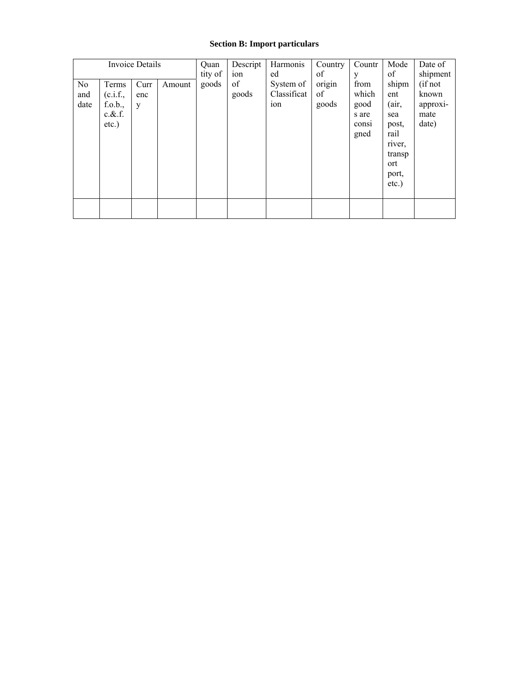## **Section B: Import particulars**

|                   |                                                       | <b>Invoice Details</b> |        | Quan    | Descript    | Harmonis                        | Country               | Countr                                          | Mode                                                              | Date of                                       |
|-------------------|-------------------------------------------------------|------------------------|--------|---------|-------------|---------------------------------|-----------------------|-------------------------------------------------|-------------------------------------------------------------------|-----------------------------------------------|
|                   |                                                       |                        |        | tity of | ion         | ed                              | of                    | y                                               | of                                                                | shipment                                      |
| No<br>and<br>date | Terms<br>(c.i.f.,<br>f.o.b.,<br>$c.\&.f.$<br>$etc.$ ) | Curr<br>enc<br>y       | Amount | goods   | of<br>goods | System of<br>Classificat<br>10n | origin<br>of<br>goods | from<br>which<br>good<br>s are<br>consi<br>gned | shipm<br>ent<br>(air,<br>sea<br>post,<br>rail<br>river,<br>transp | (if not<br>known<br>approxi-<br>mate<br>date) |
|                   |                                                       |                        |        |         |             |                                 |                       |                                                 | ort<br>port,<br>$etc.$ )                                          |                                               |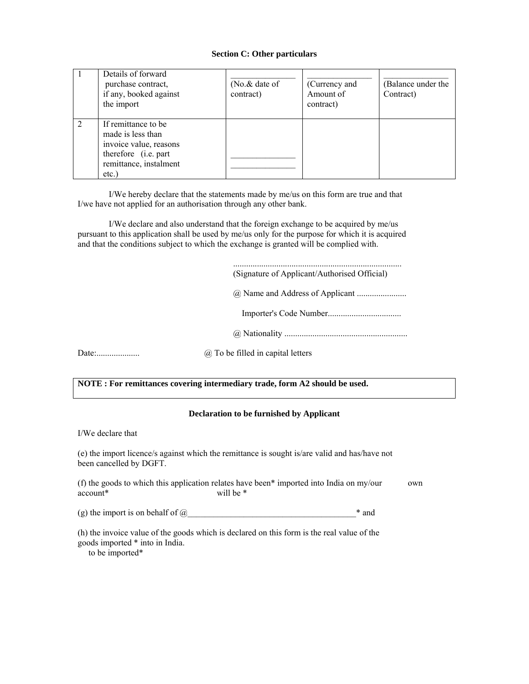### **Section C: Other particulars**

| Details of forward<br>purchase contract,<br>if any, booked against<br>the import                                             | ( $No.\&\text{ date of}$ )<br>contract) | (Currency and<br>Amount of<br>contract) | (Balance under the<br>Contract) |
|------------------------------------------------------------------------------------------------------------------------------|-----------------------------------------|-----------------------------------------|---------------------------------|
| If remittance to be<br>made is less than<br>invoice value, reasons<br>therefore (i.e. part<br>remittance, instalment<br>etc. |                                         |                                         |                                 |

I/We hereby declare that the statements made by me/us on this form are true and that I/we have not applied for an authorisation through any other bank.

I/We declare and also understand that the foreign exchange to be acquired by me/us pursuant to this application shall be used by me/us only for the purpose for which it is acquired and that the conditions subject to which the exchange is granted will be complied with.

|       | (Signature of Applicant/Authorised Official) |
|-------|----------------------------------------------|
|       |                                              |
|       |                                              |
|       |                                              |
| Date: | $(a)$ To be filled in capital letters        |
|       |                                              |

**NOTE : For remittances covering intermediary trade, form A2 should be used.** 

## **Declaration to be furnished by Applicant**

I/We declare that

(e) the import licence/s against which the remittance is sought is/are valid and has/have not been cancelled by DGFT.

(f) the goods to which this application relates have been\* imported into India on my/our own account\* will be \*

(g) the import is on behalf of  $@_$ 

(h) the invoice value of the goods which is declared on this form is the real value of the goods imported \* into in India.

to be imported\*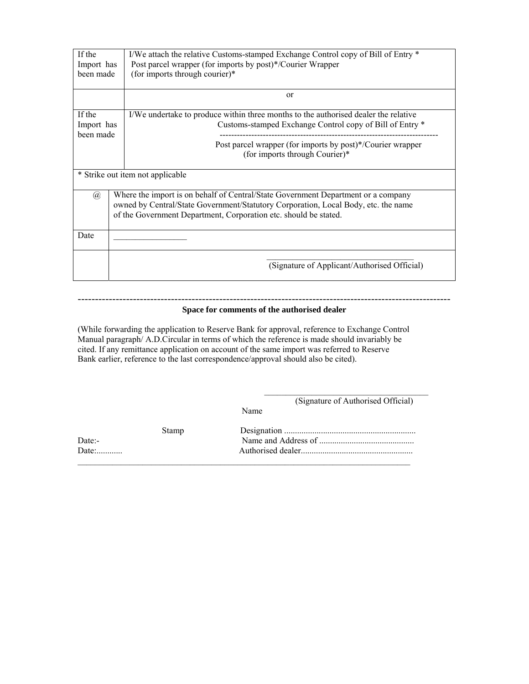| If the<br>Import has<br>been made | I/We attach the relative Customs-stamped Exchange Control copy of Bill of Entry *<br>Post parcel wrapper (for imports by post)*/Courier Wrapper<br>(for imports through courier)*                                                           |
|-----------------------------------|---------------------------------------------------------------------------------------------------------------------------------------------------------------------------------------------------------------------------------------------|
|                                   | or                                                                                                                                                                                                                                          |
| If the<br>Import has<br>been made | I/We undertake to produce within three months to the authorised dealer the relative<br>Customs-stamped Exchange Control copy of Bill of Entry *                                                                                             |
|                                   | Post parcel wrapper (for imports by post)*/Courier wrapper<br>(for imports through Courier)*                                                                                                                                                |
|                                   | * Strike out item not applicable                                                                                                                                                                                                            |
| $\mathcal{D}$                     | Where the import is on behalf of Central/State Government Department or a company<br>owned by Central/State Government/Statutory Corporation, Local Body, etc. the name<br>of the Government Department, Corporation etc. should be stated. |
| Date                              |                                                                                                                                                                                                                                             |
|                                   | (Signature of Applicant/Authorised Official)                                                                                                                                                                                                |

### ------------------------------------------------------------------------------------------------------------ **Space for comments of the authorised dealer**

(While forwarding the application to Reserve Bank for approval, reference to Exchange Control Manual paragraph/ A.D.Circular in terms of which the reference is made should invariably be cited. If any remittance application on account of the same import was referred to Reserve Bank earlier, reference to the last correspondence/approval should also be cited).

> $\mathcal{L}_\text{max}$  and  $\mathcal{L}_\text{max}$  and  $\mathcal{L}_\text{max}$  and  $\mathcal{L}_\text{max}$ (Signature of Authorised Official)

Name

|        | Stamp |  |
|--------|-------|--|
| Date:- |       |  |
| Date:  |       |  |
|        |       |  |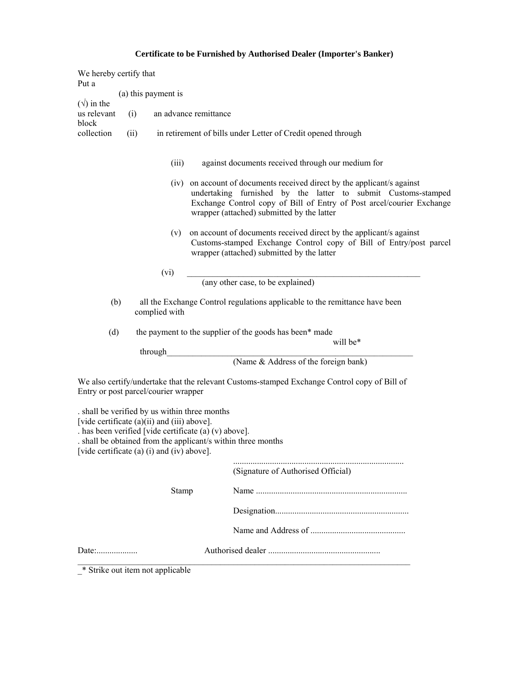# **Certificate to be Furnished by Authorised Dealer (Importer's Banker)**

| We hereby certify that<br>Put a            |      |                                                                                                                                            |                                                                                                                                                                                                                                                                 |
|--------------------------------------------|------|--------------------------------------------------------------------------------------------------------------------------------------------|-----------------------------------------------------------------------------------------------------------------------------------------------------------------------------------------------------------------------------------------------------------------|
|                                            |      | (a) this payment is                                                                                                                        |                                                                                                                                                                                                                                                                 |
| $(\sqrt{})$ in the<br>us relevant<br>block | (i)  |                                                                                                                                            | an advance remittance                                                                                                                                                                                                                                           |
| collection                                 | (ii) |                                                                                                                                            | in retirement of bills under Letter of Credit opened through                                                                                                                                                                                                    |
|                                            |      | (iii)                                                                                                                                      | against documents received through our medium for                                                                                                                                                                                                               |
|                                            |      |                                                                                                                                            | (iv) on account of documents received direct by the applicant/s against<br>undertaking furnished by the latter to submit Customs-stamped<br>Exchange Control copy of Bill of Entry of Post arcel/courier Exchange<br>wrapper (attached) submitted by the latter |
|                                            |      | (v)                                                                                                                                        | on account of documents received direct by the applicant/s against<br>Customs-stamped Exchange Control copy of Bill of Entry/post parcel<br>wrapper (attached) submitted by the latter                                                                          |
|                                            |      | (vi)                                                                                                                                       |                                                                                                                                                                                                                                                                 |
|                                            |      |                                                                                                                                            | (any other case, to be explained)                                                                                                                                                                                                                               |
|                                            | (b)  | complied with                                                                                                                              | all the Exchange Control regulations applicable to the remittance have been                                                                                                                                                                                     |
| (d)                                        |      |                                                                                                                                            | the payment to the supplier of the goods has been* made<br>will be*                                                                                                                                                                                             |
|                                            |      | through                                                                                                                                    |                                                                                                                                                                                                                                                                 |
|                                            |      |                                                                                                                                            | (Name & Address of the foreign bank)                                                                                                                                                                                                                            |
|                                            |      | Entry or post parcel/courier wrapper                                                                                                       | We also certify/undertake that the relevant Customs-stamped Exchange Control copy of Bill of                                                                                                                                                                    |
|                                            |      | . shall be verified by us within three months<br>[vide certificate (a)(ii) and (iii) above].<br>[vide certificate (a) (i) and (iv) above]. | . has been verified [vide certificate (a) (v) above].<br>. shall be obtained from the applicant/s within three months                                                                                                                                           |
|                                            |      |                                                                                                                                            | (Signature of Authorised Official)                                                                                                                                                                                                                              |
|                                            |      | Stamp                                                                                                                                      |                                                                                                                                                                                                                                                                 |
|                                            |      |                                                                                                                                            |                                                                                                                                                                                                                                                                 |
|                                            |      |                                                                                                                                            |                                                                                                                                                                                                                                                                 |
|                                            |      |                                                                                                                                            |                                                                                                                                                                                                                                                                 |
|                                            |      | * Strike out item not applicable                                                                                                           |                                                                                                                                                                                                                                                                 |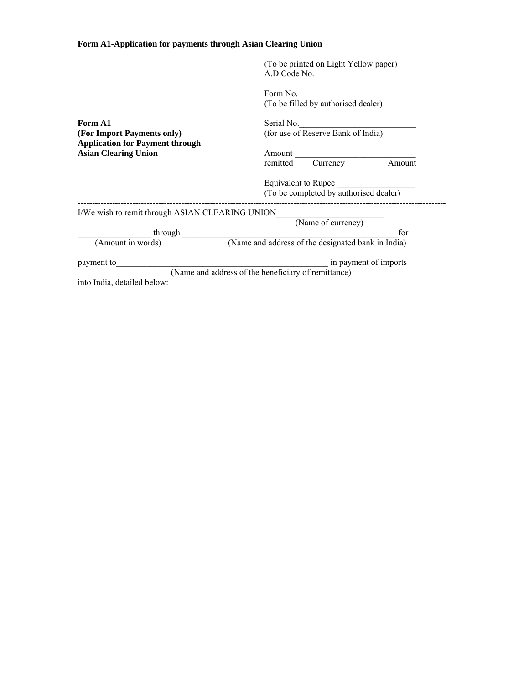## **Form A1-Application for payments through Asian Clearing Union**

|                                                                       | (To be printed on Light Yellow paper)<br>A.D.Code No.                        |
|-----------------------------------------------------------------------|------------------------------------------------------------------------------|
|                                                                       | Form No.<br>(To be filled by authorised dealer)                              |
| Form A1<br>(For Import Payments only)                                 | Serial No.<br>(for use of Reserve Bank of India)                             |
| <b>Application for Payment through</b><br><b>Asian Clearing Union</b> | Amount<br>remitted<br>Currency<br>Amount                                     |
|                                                                       | Equivalent to Rupee<br>(To be completed by authorised dealer)                |
| I/We wish to remit through ASIAN CLEARING UNION                       |                                                                              |
|                                                                       | (Name of currency)<br>for                                                    |
| (Amount in words)                                                     | (Name and address of the designated bank in India)                           |
| payment to<br>into India, detailed below:                             | in payment of imports<br>(Name and address of the beneficiary of remittance) |
|                                                                       |                                                                              |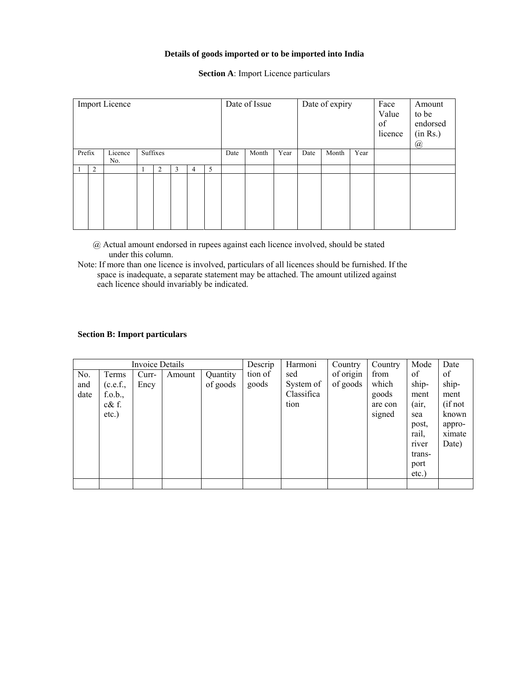### **Details of goods imported or to be imported into India**

| <b>Import Licence</b> |   |                |  |          | Date of Issue |   |      | Date of expiry |      | Face<br>Value<br>of<br>licence | Amount<br>to be<br>endorsed<br>(in Rs.)<br>@ |      |  |  |  |
|-----------------------|---|----------------|--|----------|---------------|---|------|----------------|------|--------------------------------|----------------------------------------------|------|--|--|--|
| Prefix                |   | Licence<br>No. |  | Suffixes |               |   | Date | Month          | Year | Date                           | Month                                        | Year |  |  |  |
|                       | 2 |                |  | 2        | 3             | 4 | 5    |                |      |                                |                                              |      |  |  |  |
|                       |   |                |  |          |               |   |      |                |      |                                |                                              |      |  |  |  |

**Section A**: Import Licence particulars

- @ Actual amount endorsed in rupees against each licence involved, should be stated under this column.
- Note: If more than one licence is involved, particulars of all licences should be furnished. If the space is inadequate, a separate statement may be attached. The amount utilized against each licence should invariably be indicated.

## **Section B: Import particulars**

| Invoice Details |          |       |        | Descrip  | Harmoni | Country    | Country   | Mode    | Date     |         |
|-----------------|----------|-------|--------|----------|---------|------------|-----------|---------|----------|---------|
| No.             | Terms    | Curr- | Amount | Quantity | tion of | sed        | of origin | from    | of       | of      |
| and             | (c.e.f., | Ency  |        | of goods | goods   | System of  | of goods  | which   | ship-    | ship-   |
| date            | f.o.b.,  |       |        |          |         | Classifica |           | goods   | ment     | ment    |
|                 | $c\&$ f. |       |        |          |         | tion       |           | are con | (air,    | (if not |
|                 | $etc.$ ) |       |        |          |         |            |           | signed  | sea      | known   |
|                 |          |       |        |          |         |            |           |         | post,    | appro-  |
|                 |          |       |        |          |         |            |           |         | rail,    | ximate  |
|                 |          |       |        |          |         |            |           |         | river    | Date)   |
|                 |          |       |        |          |         |            |           |         | trans-   |         |
|                 |          |       |        |          |         |            |           |         | port     |         |
|                 |          |       |        |          |         |            |           |         | $etc.$ ) |         |
|                 |          |       |        |          |         |            |           |         |          |         |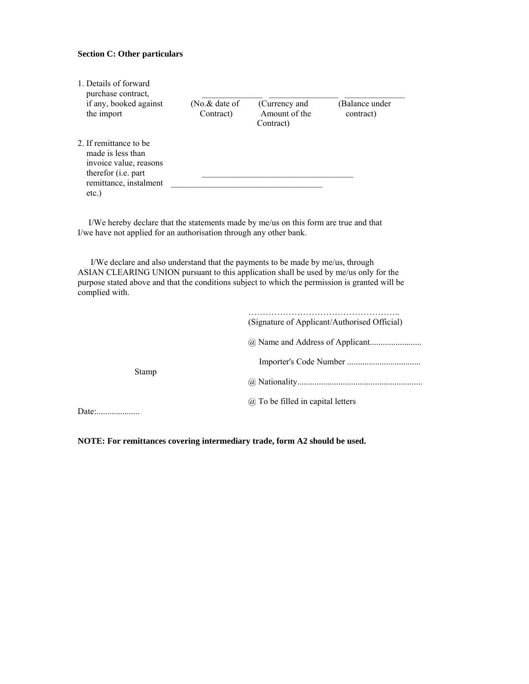### **Section C: Other particulars**

| 1. Details of forward<br>purchase contract.                                                                                    |                                |                                             |                            |
|--------------------------------------------------------------------------------------------------------------------------------|--------------------------------|---------------------------------------------|----------------------------|
| if any, booked against<br>the import                                                                                           | (No. $\&$ date of<br>Contract) | (Currency and<br>Amount of the<br>Contract) | Balance under<br>contract) |
| 2. If remittance to be<br>made is less than<br>invoice value, reasons<br>therefor ( <i>i.e.</i> part<br>remittance, instalment |                                |                                             |                            |
| etc.)                                                                                                                          |                                |                                             |                            |

 I/We hereby declare that the statements made by me/us on this form are true and that I/we have not applied for an authorisation through any other bank.

 I/We declare and also understand that the payments to be made by me/us, through ASIAN CLEARING UNION pursuant to this application shall be used by me/us only for the purpose stated above and that the conditions subject to which the permission is granted will be complied with.

|       | (Signature of Applicant/Authorised Official) |
|-------|----------------------------------------------|
|       |                                              |
|       |                                              |
| Stamp |                                              |
|       | $(a)$ To be filled in capital letters        |

**NOTE: For remittances covering intermediary trade, form A2 should be used.**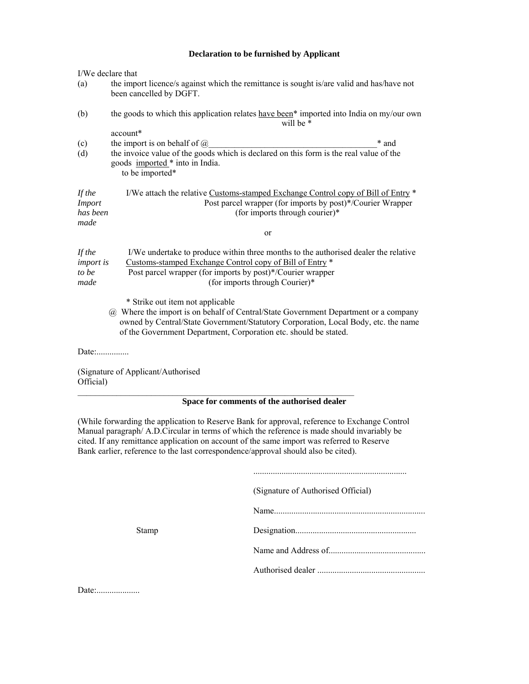## **Declaration to be furnished by Applicant**

| I/We declare that                           |                                                                                                                                                                                                                                                                                   |
|---------------------------------------------|-----------------------------------------------------------------------------------------------------------------------------------------------------------------------------------------------------------------------------------------------------------------------------------|
| (a)                                         | the import licence/s against which the remittance is sought is/are valid and has/have not<br>been cancelled by DGFT.                                                                                                                                                              |
| (b)                                         | the goods to which this application relates have been <sup>*</sup> imported into India on my/our own<br>will be *                                                                                                                                                                 |
|                                             | account*                                                                                                                                                                                                                                                                          |
| (c)                                         | the import is on behalf of $\omega$<br>* and                                                                                                                                                                                                                                      |
| (d)                                         | the invoice value of the goods which is declared on this form is the real value of the<br>goods imported * into in India.<br>to be imported*                                                                                                                                      |
| If the<br><b>Import</b><br>has been<br>made | I/We attach the relative Customs-stamped Exchange Control copy of Bill of Entry *<br>Post parcel wrapper (for imports by post)*/Courier Wrapper<br>(for imports through courier)*                                                                                                 |
|                                             | or                                                                                                                                                                                                                                                                                |
| If the<br><i>import is</i><br>to be<br>made | I/We undertake to produce within three months to the authorised dealer the relative<br>Customs-stamped Exchange Control copy of Bill of Entry *<br>Post parcel wrapper (for imports by post)*/Courier wrapper<br>(for imports through Courier)*                                   |
|                                             | * Strike out item not applicable<br>@ Where the import is on behalf of Central/State Government Department or a company<br>owned by Central/State Government/Statutory Corporation, Local Body, etc. the name<br>of the Government Department, Corporation etc. should be stated. |
|                                             |                                                                                                                                                                                                                                                                                   |
| Official)                                   | (Signature of Applicant/Authorised                                                                                                                                                                                                                                                |
|                                             | Space for comments of the authorised dealer                                                                                                                                                                                                                                       |

(While forwarding the application to Reserve Bank for approval, reference to Exchange Control Manual paragraph/ A.D.Circular in terms of which the reference is made should invariably be cited. If any remittance application on account of the same import was referred to Reserve Bank earlier, reference to the last correspondence/approval should also be cited).

|       | (Signature of Authorised Official) |
|-------|------------------------------------|
|       |                                    |
| Stamp |                                    |
|       |                                    |
|       |                                    |
|       |                                    |

Date:....................